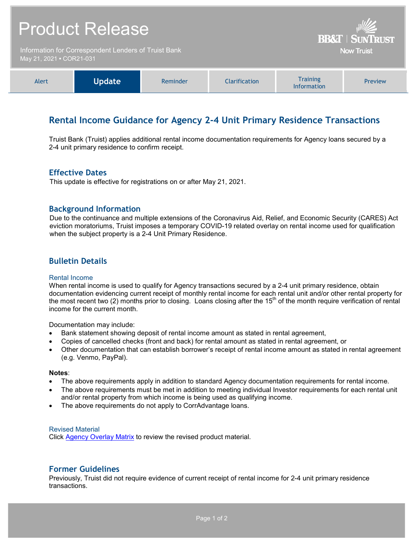| <b>Product Release</b><br>Information for Correspondent Lenders of Truist Bank<br>May 21, 2021 . COR21-031 |               |          |                      | <b>BB&amp;T   SUNTRUST</b><br><b>Now Truist</b> |         |
|------------------------------------------------------------------------------------------------------------|---------------|----------|----------------------|-------------------------------------------------|---------|
|                                                                                                            |               |          |                      |                                                 |         |
| Alert                                                                                                      | <b>Update</b> | Reminder | <b>Clarification</b> | <b>Training</b><br>Information                  | Preview |

# **Rental Income Guidance for Agency 2-4 Unit Primary Residence Transactions**

Truist Bank (Truist) applies additional rental income documentation requirements for Agency loans secured by a 2-4 unit primary residence to confirm receipt.

### **Effective Dates**

This update is effective for registrations on or after May 21, 2021.

### **Background Information**

Due to the continuance and multiple extensions of the Coronavirus Aid, Relief, and Economic Security (CARES) Act eviction moratoriums, Truist imposes a temporary COVID-19 related overlay on rental income used for qualification when the subject property is a 2-4 Unit Primary Residence.

### **Bulletin Details**

#### Rental Income

When rental income is used to qualify for Agency transactions secured by a 2-4 unit primary residence, obtain documentation evidencing current receipt of monthly rental income for each rental unit and/or other rental property for the most recent two (2) months prior to closing. Loans closing after the  $15<sup>th</sup>$  of the month require verification of rental income for the current month.

Documentation may include:

- Bank statement showing deposit of rental income amount as stated in rental agreement,
- Copies of cancelled checks (front and back) for rental amount as stated in rental agreement, or
- Other documentation that can establish borrower's receipt of rental income amount as stated in rental agreement (e.g. Venmo, PayPal).

#### **Notes**:

- The above requirements apply in addition to standard Agency documentation requirements for rental income.
- The above requirements must be met in addition to meeting individual Investor requirements for each rental unit and/or rental property from which income is being used as qualifying income.
- The above requirements do not apply to CorrAdvantage loans.

#### Revised Material

Click [Agency Overlay Matrix](http://www.truistsellerguide.com/manual/cor/products/CAgencyCreditOverlays.pdf) to review the revised product material.

### **Former Guidelines**

Previously, Truist did not require evidence of current receipt of rental income for 2-4 unit primary residence transactions.